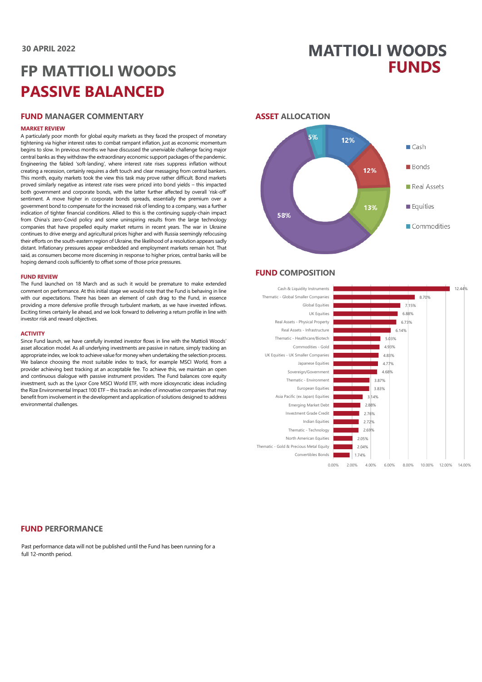## **MATTIOLI WOODS FUNDS**

# **FP MATTIOLI WOODS PASSIVE BALANCED**

#### **FUND MANAGER COMMENTARY**

#### **MARKET REVIEW**

A particularly poor month for global equity markets as they faced the prospect of monetary tightening via higher interest rates to combat rampant inflation, just as economic momentum begins to slow. In previous months we have discussed the unenviable challenge facing major central banks as they withdraw the extraordinary economic support packages of the pandemic. Engineering the fabled 'soft-landing', where interest rate rises suppress inflation without creating a recession, certainly requires a deft touch and clear messaging from central bankers. This month, equity markets took the view this task may prove rather difficult. Bond markets proved similarly negative as interest rate rises were priced into bond yields – this impacted both government and corporate bonds, with the latter further affected by overall 'risk-off' sentiment. A move higher in corporate bonds spreads, essentially the premium over a government bond to compensate for the increased risk of lending to a company, was a further indication of tighter financial conditions. Allied to this is the continuing supply-chain impact from China's zero-Covid policy and some uninspiring results from the large technology companies that have propelled equity market returns in recent years. The war in Ukraine continues to drive energy and agricultural prices higher and with Russia seemingly refocusing their efforts on the south-eastern region of Ukraine, the likelihood of a resolution appears sadly distant. Inflationary pressures appear embedded and employment markets remain hot. That said, as consumers become more discerning in response to higher prices, central banks will be hoping demand cools sufficiently to offset some of those price pressures.

#### **FUND REVIEW**

The Fund launched on 18 March and as such it would be premature to make extended comment on performance. At this initial stage we would note that the Fund is behaving in line with our expectations. There has been an element of cash drag to the Fund, in essence providing a more defensive profile through turbulent markets, as we have invested inflows. Exciting times certainly lie ahead, and we look forward to delivering a return profile in line with investor risk and reward objectives.

#### **ACTIVITY**

Since Fund launch, we have carefully invested investor flows in line with the Mattioli Woods' asset allocation model. As all underlying investments are passive in nature, simply tracking an appropriate index, we look to achieve value for money when undertaking the selection process. We balance choosing the most suitable index to track, for example MSCI World, from a provider achieving best tracking at an acceptable fee. To achieve this, we maintain an open and continuous dialogue with passive instrument providers. The Fund balances core equity investment, such as the Lyxor Core MSCI World ETF, with more idiosyncratic ideas including the Rize Environmental Impact 100 ETF – this tracks an index of innovative companies that may benefit from involvement in the development and application of solutions designed to address environmental challenges.

#### **ASSET ALLOCATION**



#### **FUND COMPOSITION**



### **FUND PERFORMANCE**

Past performance data will not be published until the Fund has been running for a full 12-month period.